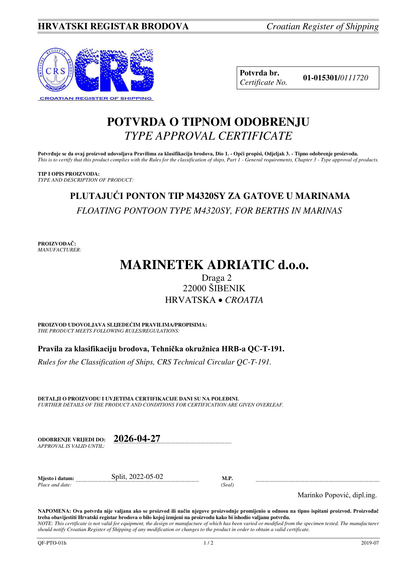

**Potvrda br. 01-015301/***<sup>0111720</sup> Certificate No.* 

# **POTVRDA O TIPNOM ODOBRENJU**  *TYPE APPROVAL CERTIFICATE*

**Potvrđuje se da ovaj proizvod udovoljava Pravilima za klasifikaciju brodova, Dio 1. - Opći propisi, Odjeljak 3. - Tipno odobrenje proizvoda.**  *This is to certify that this product complies with the Rules for the classification of ships, Part 1 - General requirements, Chapter 3 - Type approval of products.* 

**TIP I OPIS PROIZVODA:** *TYPE AND DESCRIPTION OF PRODUCT:* 

# **PLUTAJUĆI PONTON TIP M4320SY ZA GATOVE U MARINAMA**  *FLOATING PONTOON TYPE M4320SY, FOR BERTHS IN MARINAS*

**PROIZVOĐAČ:** *MANUFACTURER:*

# **MARINETEK ADRIATIC d.o.o.**

# Draga 2 22000 ŠIBENIK HRVATSKA *CROATIA*

**PROIZVOD UDOVOLJAVA SLIJEDEĆIM PRAVILIMA/PROPISIMA:** *THE PRODUCT MEETS FOLLOWING RULES/REGULATIONS:* 

**Pravila za klasifikaciju brodova, Tehnička okružnica HRB-a QC-T-191.** 

*Rules for the Classification of Ships, CRS Technical Circular QC-T-191.*

**DETALJI O PROIZVODU I UVJETIMA CERTIFIKACIJE DANI SU NA POLEĐINI.** *FURTHER DETAILS OF THE PRODUCT AND CONDITIONS FOR CERTIFICATION ARE GIVEN OVERLEAF.* 

| APPROVAL IS VALID UNTIL: | ODOBREN.IE VRLIEDI DO: | 2026-04-27 |
|--------------------------|------------------------|------------|
|--------------------------|------------------------|------------|

**Mjesto i datum:** Split, 2022-05-02 **M.P.**  *Place and date: (Seal)* 

Marinko Popović, dipl.ing.

**NAPOMENA: Ova potvrda nije valjana ako se proizvod ili način njegove proizvodnje promijenio u odnosu na tipno ispitani proizvod. Proizvođač treba obavijestiti Hrvatski registar brodova o bilo kojoj izmjeni na proizvodu kako bi ishodio valjanu potvrdu.**  *NOTE: This certificate is not valid for equipment, the design or manufacture of which has been varied or modified from the specimen tested. The manufacturer* 

*should notify Croatian Register of Shipping of any modification or changes to the product in order to obtain a valid certificate.*